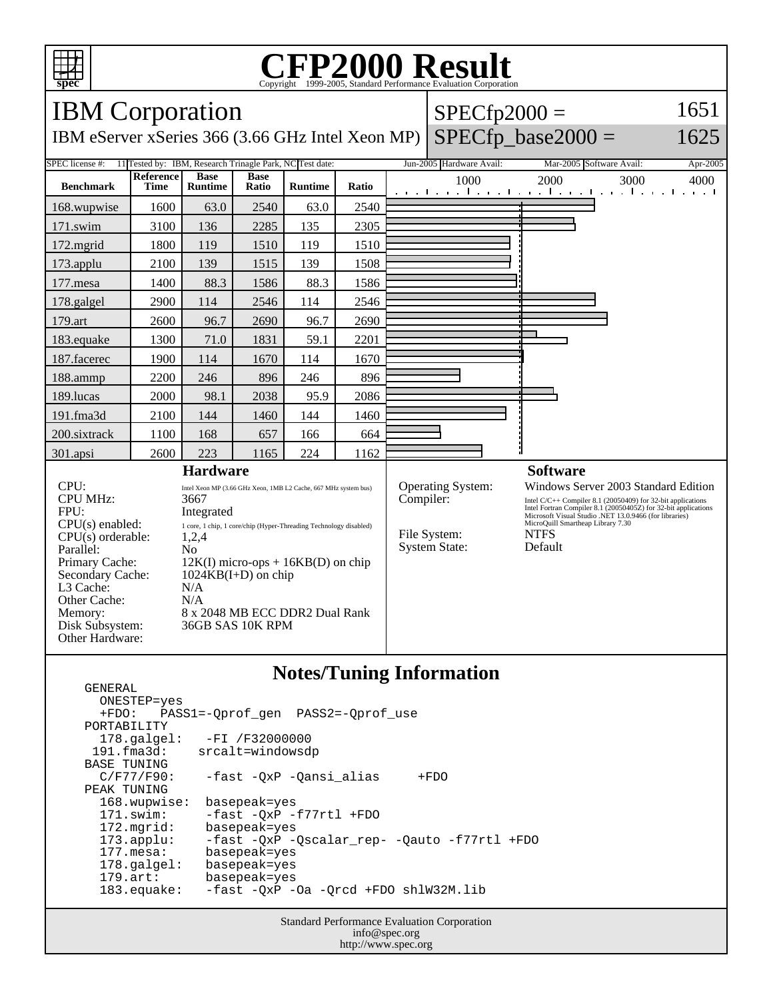

GENERAL

## C<sub>opyright</sub> ©1999-2005, Standard Performance Evaluation Corporation

| <b>IBM</b> Corporation                                                                                                                                                                                                                                                                                                                                                                                                                                                                                                                   |                          |                               |                      |                |                                                                  |                                                                                                                                                                                                                                                                                                | $SPECfp2000 =$           | 1651                                                                   |             |
|------------------------------------------------------------------------------------------------------------------------------------------------------------------------------------------------------------------------------------------------------------------------------------------------------------------------------------------------------------------------------------------------------------------------------------------------------------------------------------------------------------------------------------------|--------------------------|-------------------------------|----------------------|----------------|------------------------------------------------------------------|------------------------------------------------------------------------------------------------------------------------------------------------------------------------------------------------------------------------------------------------------------------------------------------------|--------------------------|------------------------------------------------------------------------|-------------|
| $SPECfp\_base2000 =$<br>IBM eServer xSeries 366 (3.66 GHz Intel Xeon MP)                                                                                                                                                                                                                                                                                                                                                                                                                                                                 |                          |                               |                      |                |                                                                  |                                                                                                                                                                                                                                                                                                |                          |                                                                        | 1625        |
| SPEC license #:<br>11 Tested by: IBM, Research Trinagle Park, NC Test date:                                                                                                                                                                                                                                                                                                                                                                                                                                                              |                          |                               |                      |                |                                                                  |                                                                                                                                                                                                                                                                                                | Jun-2005 Hardware Avail: | Mar-2005 Software Avail:                                               | Apr-2005    |
| <b>Benchmark</b>                                                                                                                                                                                                                                                                                                                                                                                                                                                                                                                         | Reference<br><b>Time</b> | <b>Base</b><br><b>Runtime</b> | <b>Base</b><br>Ratio | <b>Runtime</b> | Ratio                                                            |                                                                                                                                                                                                                                                                                                | 1000                     | 2000<br>3000<br>والمتحارث والمتحار والمتحرق والمتحرق والمتحرق والمنافر | 4000<br>. 1 |
| 168.wupwise                                                                                                                                                                                                                                                                                                                                                                                                                                                                                                                              | 1600                     | 63.0                          | 2540                 | 63.0           | 2540                                                             |                                                                                                                                                                                                                                                                                                |                          |                                                                        |             |
| $171$ .swim                                                                                                                                                                                                                                                                                                                                                                                                                                                                                                                              | 3100                     | 136                           | 2285                 | 135            | 2305                                                             |                                                                                                                                                                                                                                                                                                |                          |                                                                        |             |
| 172.mgrid                                                                                                                                                                                                                                                                                                                                                                                                                                                                                                                                | 1800                     | 119                           | 1510                 | 119            | 1510                                                             |                                                                                                                                                                                                                                                                                                |                          |                                                                        |             |
| 173.applu                                                                                                                                                                                                                                                                                                                                                                                                                                                                                                                                | 2100                     | 139                           | 1515                 | 139            | 1508                                                             |                                                                                                                                                                                                                                                                                                |                          |                                                                        |             |
| 177.mesa                                                                                                                                                                                                                                                                                                                                                                                                                                                                                                                                 | 1400                     | 88.3                          | 1586                 | 88.3           | 1586                                                             |                                                                                                                                                                                                                                                                                                |                          |                                                                        |             |
| 178.galgel                                                                                                                                                                                                                                                                                                                                                                                                                                                                                                                               | 2900                     | 114                           | 2546                 | 114            | 2546                                                             |                                                                                                                                                                                                                                                                                                |                          |                                                                        |             |
| 179.art                                                                                                                                                                                                                                                                                                                                                                                                                                                                                                                                  | 2600                     | 96.7                          | 2690                 | 96.7           | 2690                                                             |                                                                                                                                                                                                                                                                                                |                          |                                                                        |             |
| 183.equake                                                                                                                                                                                                                                                                                                                                                                                                                                                                                                                               | 1300                     | 71.0                          | 1831                 | 59.1           | 2201                                                             |                                                                                                                                                                                                                                                                                                |                          |                                                                        |             |
| 187.facerec                                                                                                                                                                                                                                                                                                                                                                                                                                                                                                                              | 1900                     | 114                           | 1670                 | 114            | 1670                                                             |                                                                                                                                                                                                                                                                                                |                          |                                                                        |             |
| 188.ammp                                                                                                                                                                                                                                                                                                                                                                                                                                                                                                                                 | 2200                     | 246                           | 896                  | 246            | 896                                                              |                                                                                                                                                                                                                                                                                                |                          |                                                                        |             |
| 189.lucas                                                                                                                                                                                                                                                                                                                                                                                                                                                                                                                                | 2000                     | 98.1                          | 2038                 | 95.9           | 2086                                                             |                                                                                                                                                                                                                                                                                                |                          |                                                                        |             |
| 191.fma3d                                                                                                                                                                                                                                                                                                                                                                                                                                                                                                                                | 2100                     | 144                           | 1460                 | 144            | 1460                                                             |                                                                                                                                                                                                                                                                                                |                          |                                                                        |             |
| 200.sixtrack                                                                                                                                                                                                                                                                                                                                                                                                                                                                                                                             | 1100                     | 168                           | 657                  | 166            | 664                                                              |                                                                                                                                                                                                                                                                                                |                          |                                                                        |             |
| 301.apsi                                                                                                                                                                                                                                                                                                                                                                                                                                                                                                                                 | 2600                     | 223                           | 1165                 | 224            | 1162                                                             |                                                                                                                                                                                                                                                                                                |                          |                                                                        |             |
| <b>Hardware</b>                                                                                                                                                                                                                                                                                                                                                                                                                                                                                                                          |                          |                               |                      |                |                                                                  | <b>Software</b>                                                                                                                                                                                                                                                                                |                          |                                                                        |             |
| CPU:<br>Intel Xeon MP (3.66 GHz Xeon, 1MB L2 Cache, 667 MHz system bus)<br><b>CPU MHz:</b><br>3667<br>FPU:<br>Integrated<br>CPU(s) enabled:<br>1 core, 1 chip, 1 core/chip (Hyper-Threading Technology disabled)<br>$CPU(s)$ orderable:<br>1,2,4<br>Parallel:<br>N <sub>0</sub><br>Primary Cache:<br>$12K(I)$ micro-ops + 16KB(D) on chip<br>$1024KB(I+D)$ on chip<br>Secondary Cache:<br>L3 Cache:<br>N/A<br>Other Cache:<br>N/A<br>8 x 2048 MB ECC DDR2 Dual Rank<br>Memory:<br>Disk Subsystem:<br>36GB SAS 10K RPM<br>Other Hardware: |                          |                               |                      | Compiler:      | <b>Operating System:</b><br>File System:<br><b>System State:</b> | Windows Server 2003 Standard Edition<br>Intel C/C++ Compiler 8.1 (20050409) for 32-bit applications<br>Intel Fortran Compiler 8.1 (20050405Z) for 32-bit applications<br>Microsoft Visual Studio .NET 13.0.9466 (for libraries)<br>MicroQuill Smartheap Library 7.30<br><b>NTFS</b><br>Default |                          |                                                                        |             |

## **Notes/Tuning Information**

 ONESTEP=yes +FDO: PASS1=-Qprof\_gen PASS2=-Qprof\_use PORTABILITY<br>178.qalqel: 178.galgel: -FI /F32000000 191.fma3d: srcalt=windowsdp BASE TUNING<br>C/F77/F90: -fast -QxP -Qansi\_alias +FDO PEAK TUNING 168.wupwise: basepeak=yes 171.swim: -fast -QxP -f77rtl +FDO 172.mgrid: basepeak=yes<br>173.applu: -fast -QxP - 173.applu: -fast -QxP -Qscalar\_rep- -Qauto -f77rtl +FDO basepeak=yes<br>basepeak=yes  $178.galgel:$ 179.art: basepeak=yes<br>183.equake: -fast -QxP --fast -QxP -Oa -Qrcd +FDO shlW32M.lib

> Standard Performance Evaluation Corporation info@spec.org http://www.spec.org